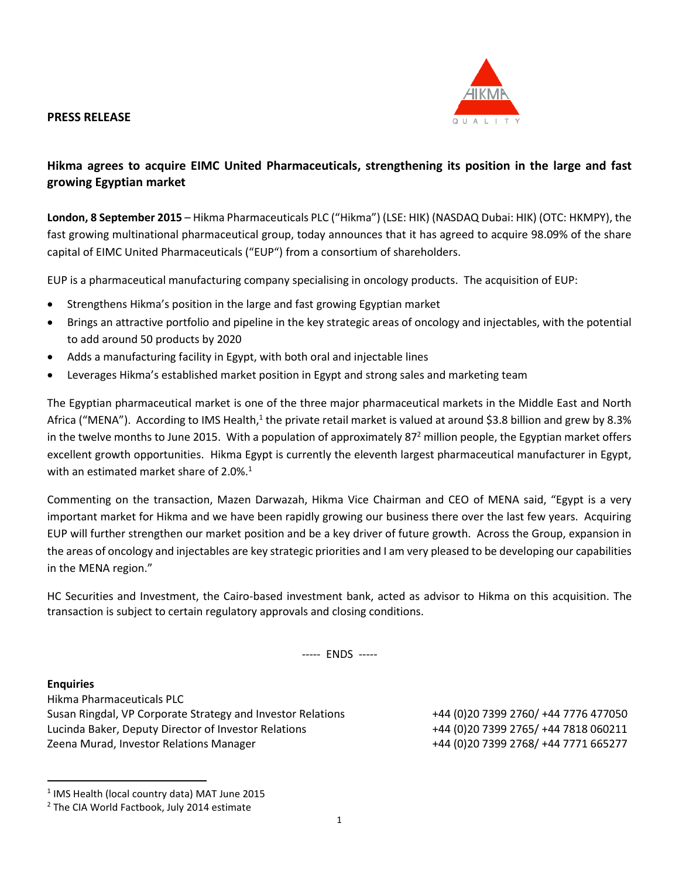## **PRESS RELEASE**



# **Hikma agrees to acquire EIMC United Pharmaceuticals, strengthening its position in the large and fast growing Egyptian market**

**London, 8 September 2015** – Hikma Pharmaceuticals PLC ("Hikma") (LSE: HIK) (NASDAQ Dubai: HIK) (OTC: HKMPY), the fast growing multinational pharmaceutical group, today announces that it has agreed to acquire 98.09% of the share capital of EIMC United Pharmaceuticals ("EUP") from a consortium of shareholders.

EUP is a pharmaceutical manufacturing company specialising in oncology products. The acquisition of EUP:

- Strengthens Hikma's position in the large and fast growing Egyptian market
- Brings an attractive portfolio and pipeline in the key strategic areas of oncology and injectables, with the potential to add around 50 products by 2020
- Adds a manufacturing facility in Egypt, with both oral and injectable lines
- Leverages Hikma's established market position in Egypt and strong sales and marketing team

The Egyptian pharmaceutical market is one of the three major pharmaceutical markets in the Middle East and North Africa ("MENA"). According to IMS Health,<sup>1</sup> the private retail market is valued at around \$3.8 billion and grew by 8.3% in the twelve months to June 2015. With a population of approximately 87<sup>2</sup> million people, the Egyptian market offers excellent growth opportunities. Hikma Egypt is currently the eleventh largest pharmaceutical manufacturer in Egypt, with an estimated market share of  $2.0\%$ .<sup>1</sup>

Commenting on the transaction, Mazen Darwazah, Hikma Vice Chairman and CEO of MENA said, "Egypt is a very important market for Hikma and we have been rapidly growing our business there over the last few years. Acquiring EUP will further strengthen our market position and be a key driver of future growth. Across the Group, expansion in the areas of oncology and injectables are key strategic priorities and I am very pleased to be developing our capabilities in the MENA region."

HC Securities and Investment, the Cairo-based investment bank, acted as advisor to Hikma on this acquisition. The transaction is subject to certain regulatory approvals and closing conditions.

----- ENDS -----

#### **Enquiries**

 $\overline{a}$ 

Hikma Pharmaceuticals PLC Susan Ringdal, VP Corporate Strategy and Investor Relations +44 (0)20 7399 2760/ +44 7776 477050 Lucinda Baker, Deputy Director of Investor Relations +44 (0)20 7399 2765/ +44 7818 060211 Zeena Murad, Investor Relations Manager +44 (0)20 7399 2768/ +44 7771 665277

<sup>&</sup>lt;sup>1</sup> IMS Health (local country data) MAT June 2015

<sup>&</sup>lt;sup>2</sup> The CIA World Factbook, July 2014 estimate